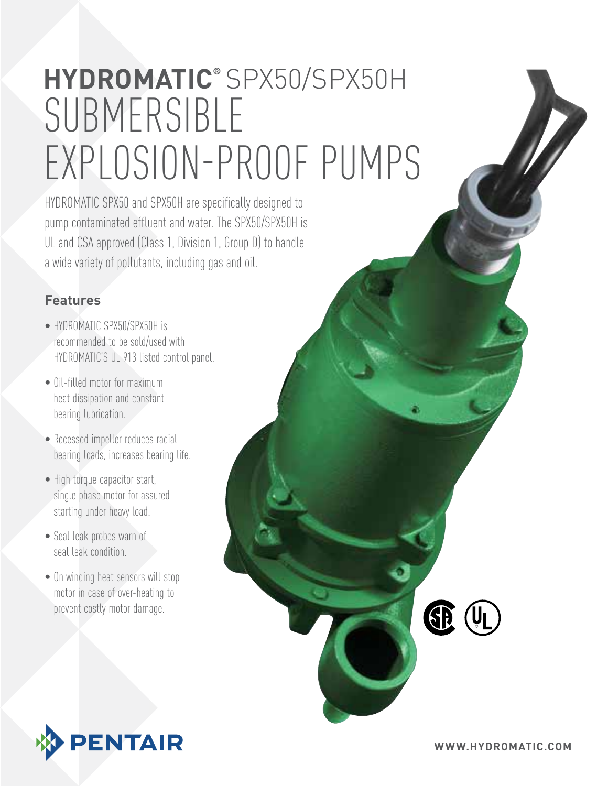# submersible explosion-proof pumps **hydromatic®** SPX50/SPX50H

HYDROMATIC SPX50 and SPX50H are specifically designed to pump contaminated effluent and water. The SPX50/SPX50H is UL and CSA approved (Class 1, Division 1, Group D) to handle a wide variety of pollutants, including gas and oil.

#### **Features**

- HYDROMATIC SPX50/SPX50H is recommended to be sold/used with HYDROMATIC'S UL 913 listed control panel.
- Oil-filled motor for maximum heat dissipation and constant bearing lubrication.
- Recessed impeller reduces radial bearing loads, increases bearing life.
- High torque capacitor start, single phase motor for assured starting under heavy load.
- Seal leak probes warn of seal leak condition.
- On winding heat sensors will stop motor in case of over-heating to prevent costly motor damage.



**RE**